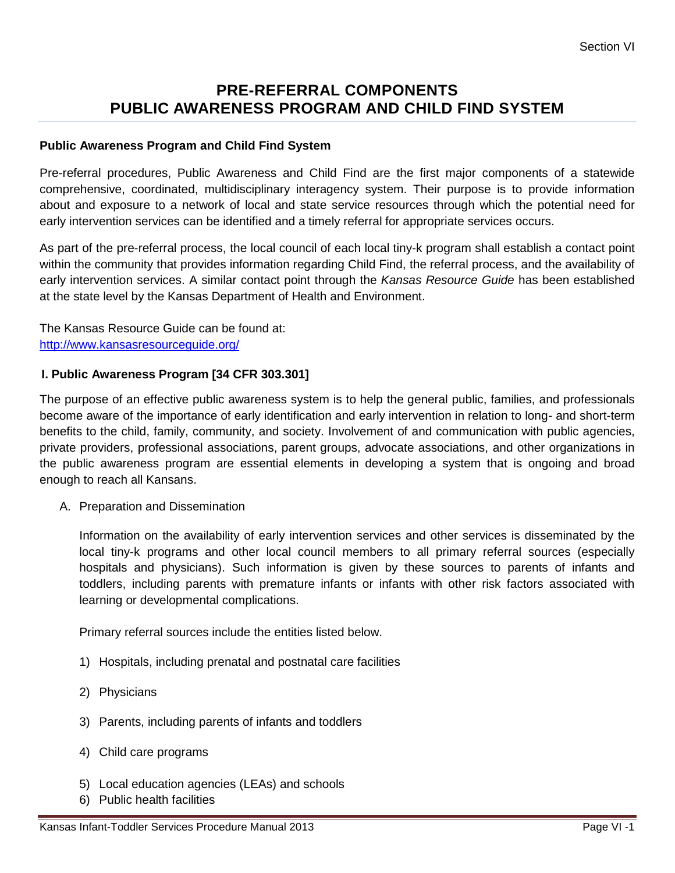## **PRE-REFERRAL COMPONENTS PUBLIC AWARENESS PROGRAM AND CHILD FIND SYSTEM**

## **Public Awareness Program and Child Find System**

Pre-referral procedures, Public Awareness and Child Find are the first major components of a statewide comprehensive, coordinated, multidisciplinary interagency system. Their purpose is to provide information about and exposure to a network of local and state service resources through which the potential need for early intervention services can be identified and a timely referral for appropriate services occurs.

As part of the pre-referral process, the local council of each local tiny-k program shall establish a contact point within the community that provides information regarding Child Find, the referral process, and the availability of early intervention services. A similar contact point through the *Kansas Resource Guide* has been established at the state level by the Kansas Department of Health and Environment.

The Kansas Resource Guide can be found at: <http://www.kansasresourceguide.org/>

## **I. Public Awareness Program [34 CFR 303.301]**

The purpose of an effective public awareness system is to help the general public, families, and professionals become aware of the importance of early identification and early intervention in relation to long- and short-term benefits to the child, family, community, and society. Involvement of and communication with public agencies, private providers, professional associations, parent groups, advocate associations, and other organizations in the public awareness program are essential elements in developing a system that is ongoing and broad enough to reach all Kansans.

A. Preparation and Dissemination

Information on the availability of early intervention services and other services is disseminated by the local tiny-k programs and other local council members to all primary referral sources (especially hospitals and physicians). Such information is given by these sources to parents of infants and toddlers, including parents with premature infants or infants with other risk factors associated with learning or developmental complications.

Primary referral sources include the entities listed below.

- 1) Hospitals, including prenatal and postnatal care facilities
- 2) Physicians
- 3) Parents, including parents of infants and toddlers
- 4) Child care programs
- 5) Local education agencies (LEAs) and schools
- 6) Public health facilities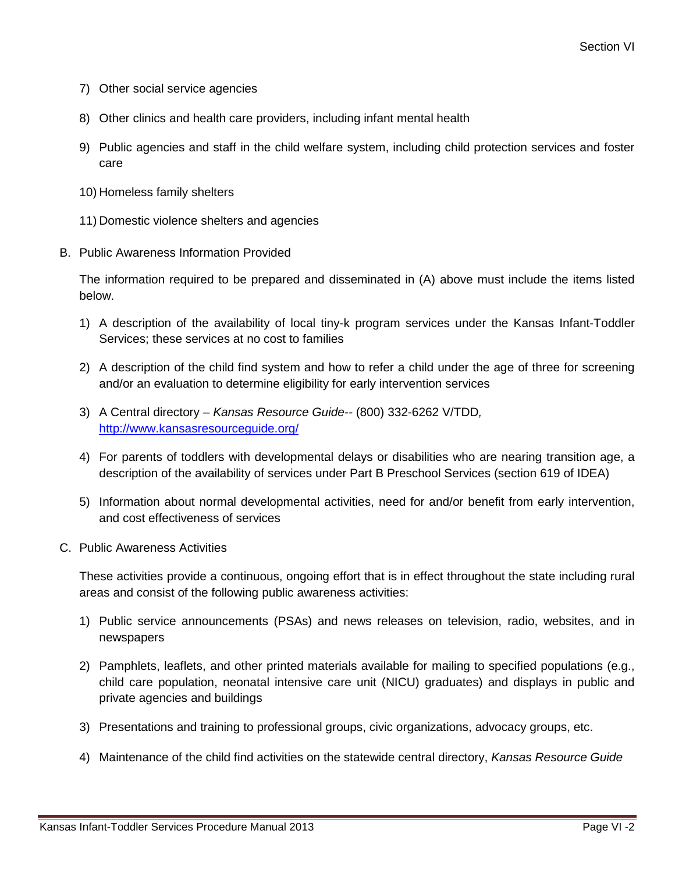- 7) Other social service agencies
- 8) Other clinics and health care providers, including infant mental health
- 9) Public agencies and staff in the child welfare system, including child protection services and foster care
- 10) Homeless family shelters
- 11) Domestic violence shelters and agencies
- B. Public Awareness Information Provided

The information required to be prepared and disseminated in (A) above must include the items listed below.

- 1) A description of the availability of local tiny-k program services under the Kansas Infant-Toddler Services; these services at no cost to families
- 2) A description of the child find system and how to refer a child under the age of three for screening and/or an evaluation to determine eligibility for early intervention services
- 3) A Central directory *Kansas Resource Guide--* (800) 332-6262 V/TDD*,* <http://www.kansasresourceguide.org/>
- 4) For parents of toddlers with developmental delays or disabilities who are nearing transition age, a description of the availability of services under Part B Preschool Services (section 619 of IDEA)
- 5) Information about normal developmental activities, need for and/or benefit from early intervention, and cost effectiveness of services
- C. Public Awareness Activities

These activities provide a continuous, ongoing effort that is in effect throughout the state including rural areas and consist of the following public awareness activities:

- 1) Public service announcements (PSAs) and news releases on television, radio, websites, and in newspapers
- 2) Pamphlets, leaflets, and other printed materials available for mailing to specified populations (e.g., child care population, neonatal intensive care unit (NICU) graduates) and displays in public and private agencies and buildings
- 3) Presentations and training to professional groups, civic organizations, advocacy groups, etc.
- 4) Maintenance of the child find activities on the statewide central directory, *Kansas Resource Guide*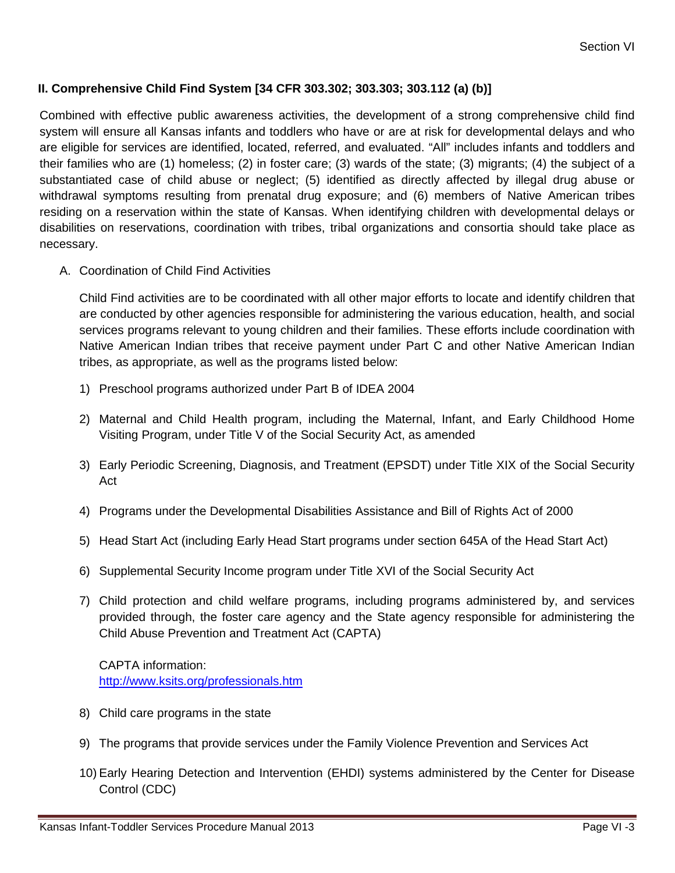## **II. Comprehensive Child Find System [34 CFR 303.302; 303.303; 303.112 (a) (b)]**

Combined with effective public awareness activities, the development of a strong comprehensive child find system will ensure all Kansas infants and toddlers who have or are at risk for developmental delays and who are eligible for services are identified, located, referred, and evaluated. "All" includes infants and toddlers and their families who are (1) homeless; (2) in foster care; (3) wards of the state; (3) migrants; (4) the subject of a substantiated case of child abuse or neglect; (5) identified as directly affected by illegal drug abuse or withdrawal symptoms resulting from prenatal drug exposure; and (6) members of Native American tribes residing on a reservation within the state of Kansas. When identifying children with developmental delays or disabilities on reservations, coordination with tribes, tribal organizations and consortia should take place as necessary.

A. Coordination of Child Find Activities

Child Find activities are to be coordinated with all other major efforts to locate and identify children that are conducted by other agencies responsible for administering the various education, health, and social services programs relevant to young children and their families. These efforts include coordination with Native American Indian tribes that receive payment under Part C and other Native American Indian tribes, as appropriate, as well as the programs listed below:

- 1) Preschool programs authorized under Part B of IDEA 2004
- 2) Maternal and Child Health program, including the Maternal, Infant, and Early Childhood Home Visiting Program, under Title V of the Social Security Act, as amended
- 3) Early Periodic Screening, Diagnosis, and Treatment (EPSDT) under Title XIX of the Social Security Act
- 4) Programs under the Developmental Disabilities Assistance and Bill of Rights Act of 2000
- 5) Head Start Act (including Early Head Start programs under section 645A of the Head Start Act)
- 6) Supplemental Security Income program under Title XVI of the Social Security Act
- 7) Child protection and child welfare programs, including programs administered by, and services provided through, the foster care agency and the State agency responsible for administering the Child Abuse Prevention and Treatment Act (CAPTA)

CAPTA information: <http://www.ksits.org/professionals.htm>

- 8) Child care programs in the state
- 9) The programs that provide services under the Family Violence Prevention and Services Act
- 10) Early Hearing Detection and Intervention (EHDI) systems administered by the Center for Disease Control (CDC)